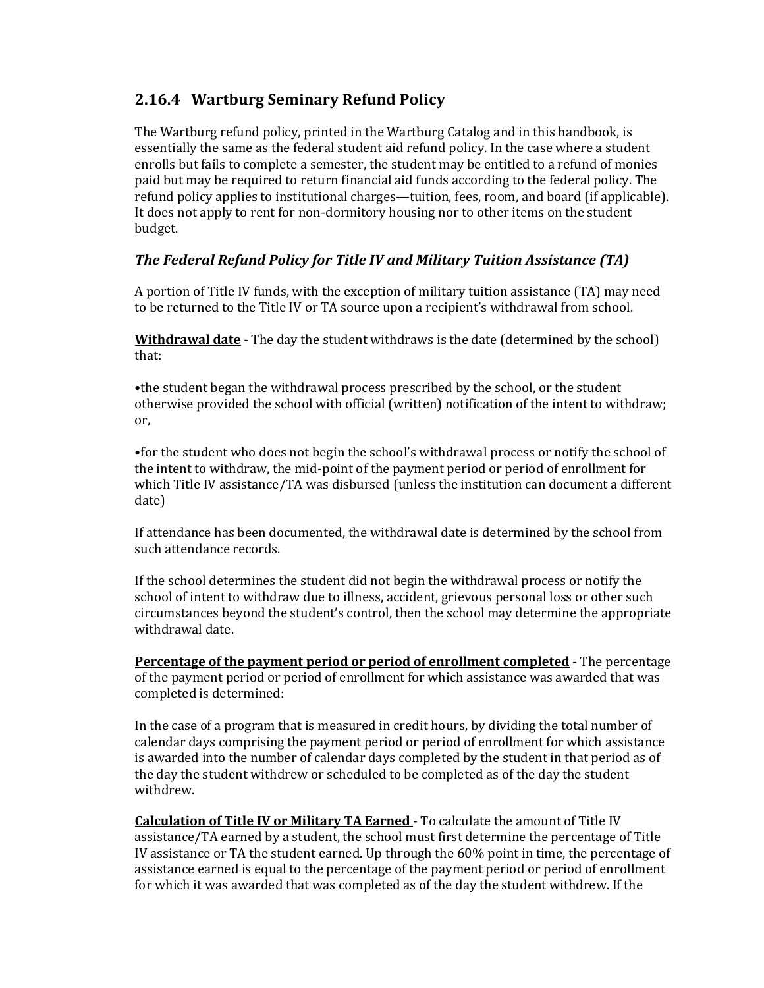## **2.16.4 Wartburg Seminary Refund Policy**

The Wartburg refund policy, printed in the Wartburg Catalog and in this handbook, is essentially the same as the federal student aid refund policy. In the case where a student enrolls but fails to complete a semester, the student may be entitled to a refund of monies paid but may be required to return financial aid funds according to the federal policy. The refund policy applies to institutional charges—tuition, fees, room, and board (if applicable). It does not apply to rent for non-dormitory housing nor to other items on the student budget.

## *The Federal Refund Policy for Title IV and Military Tuition Assistance (TA)*

A portion of Title IV funds, with the exception of military tuition assistance (TA) may need to be returned to the Title IV or TA source upon a recipient's withdrawal from school.

**Withdrawal date** - The day the student withdraws is the date (determined by the school) that:

•the student began the withdrawal process prescribed by the school, or the student otherwise provided the school with official (written) notification of the intent to withdraw; or,

•for the student who does not begin the school's withdrawal process or notify the school of the intent to withdraw, the mid-point of the payment period or period of enrollment for which Title IV assistance/TA was disbursed (unless the institution can document a different date)

If attendance has been documented, the withdrawal date is determined by the school from such attendance records.

If the school determines the student did not begin the withdrawal process or notify the school of intent to withdraw due to illness, accident, grievous personal loss or other such circumstances beyond the student's control, then the school may determine the appropriate withdrawal date.

**Percentage of the payment period or period of enrollment completed** - The percentage of the payment period or period of enrollment for which assistance was awarded that was completed is determined:

In the case of a program that is measured in credit hours, by dividing the total number of calendar days comprising the payment period or period of enrollment for which assistance is awarded into the number of calendar days completed by the student in that period as of the day the student withdrew or scheduled to be completed as of the day the student withdrew.

**Calculation of Title IV or Military TA Earned** - To calculate the amount of Title IV assistance/TA earned by a student, the school must first determine the percentage of Title IV assistance or TA the student earned. Up through the 60% point in time, the percentage of assistance earned is equal to the percentage of the payment period or period of enrollment for which it was awarded that was completed as of the day the student withdrew. If the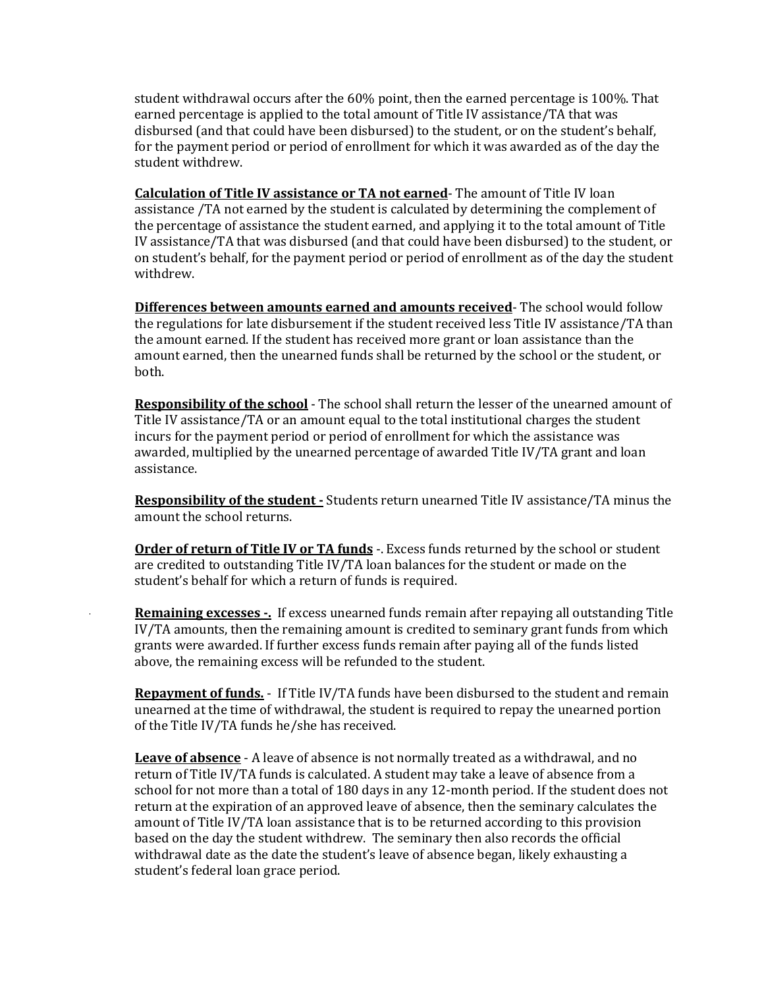student withdrawal occurs after the 60% point, then the earned percentage is 100%. That earned percentage is applied to the total amount of Title IV assistance/TA that was disbursed (and that could have been disbursed) to the student, or on the student's behalf, for the payment period or period of enrollment for which it was awarded as of the day the student withdrew.

**Calculation of Title IV assistance or TA not earned**- The amount of Title IV loan assistance /TA not earned by the student is calculated by determining the complement of the percentage of assistance the student earned, and applying it to the total amount of Title IV assistance/TA that was disbursed (and that could have been disbursed) to the student, or on student's behalf, for the payment period or period of enrollment as of the day the student withdrew.

**Differences between amounts earned and amounts received**- The school would follow the regulations for late disbursement if the student received less Title IV assistance/TA than the amount earned. If the student has received more grant or loan assistance than the amount earned, then the unearned funds shall be returned by the school or the student, or both.

**Responsibility of the school** - The school shall return the lesser of the unearned amount of Title IV assistance/TA or an amount equal to the total institutional charges the student incurs for the payment period or period of enrollment for which the assistance was awarded, multiplied by the unearned percentage of awarded Title IV/TA grant and loan assistance.

**Responsibility of the student -** Students return unearned Title IV assistance/TA minus the amount the school returns.

**Order of return of Title IV or TA funds** -. Excess funds returned by the school or student are credited to outstanding Title IV/TA loan balances for the student or made on the student's behalf for which a return of funds is required.

**Remaining excesses -.** If excess unearned funds remain after repaying all outstanding Title IV/TA amounts, then the remaining amount is credited to seminary grant funds from which grants were awarded. If further excess funds remain after paying all of the funds listed above, the remaining excess will be refunded to the student.

**Repayment of funds.** - If Title IV/TA funds have been disbursed to the student and remain unearned at the time of withdrawal, the student is required to repay the unearned portion of the Title IV/TA funds he/she has received.

**Leave of absence** - A leave of absence is not normally treated as a withdrawal, and no return of Title IV/TA funds is calculated. A student may take a leave of absence from a school for not more than a total of 180 days in any 12-month period. If the student does not return at the expiration of an approved leave of absence, then the seminary calculates the amount of Title IV/TA loan assistance that is to be returned according to this provision based on the day the student withdrew. The seminary then also records the official withdrawal date as the date the student's leave of absence began, likely exhausting a student's federal loan grace period.